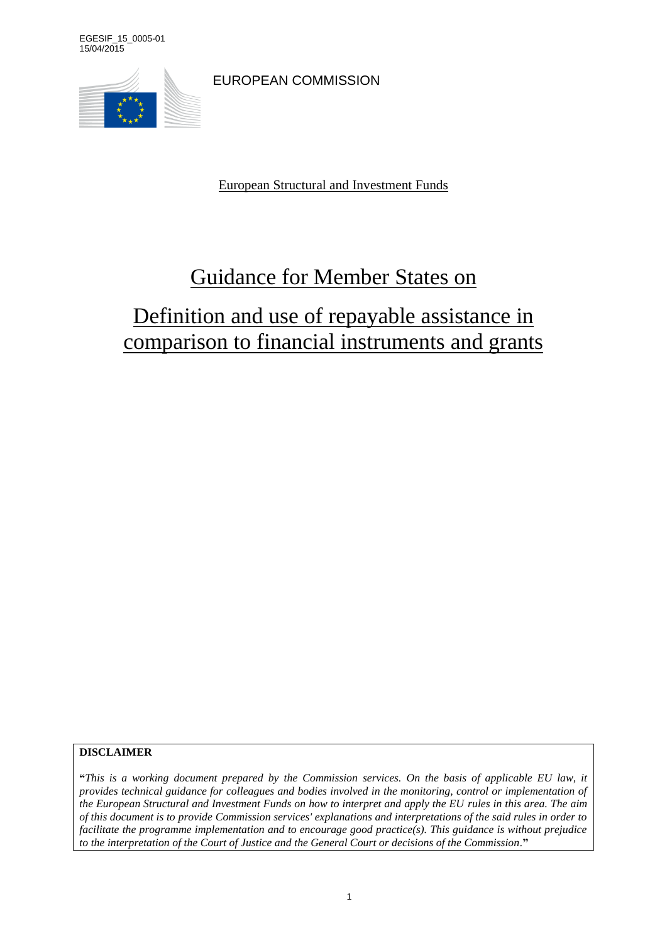EGESIF\_15\_0005-01 15/04/2015



EUROPEAN COMMISSION

European Structural and Investment Funds

# Guidance for Member States on

# Definition and use of repayable assistance in comparison to financial instruments and grants

**DISCLAIMER**

**"***This is a working document prepared by the Commission services. On the basis of applicable EU law, it provides technical guidance for colleagues and bodies involved in the monitoring, control or implementation of the European Structural and Investment Funds on how to interpret and apply the EU rules in this area. The aim of this document is to provide Commission services' explanations and interpretations of the said rules in order to facilitate the programme implementation and to encourage good practice(s). This guidance is without prejudice to the interpretation of the Court of Justice and the General Court or decisions of the Commission.***"**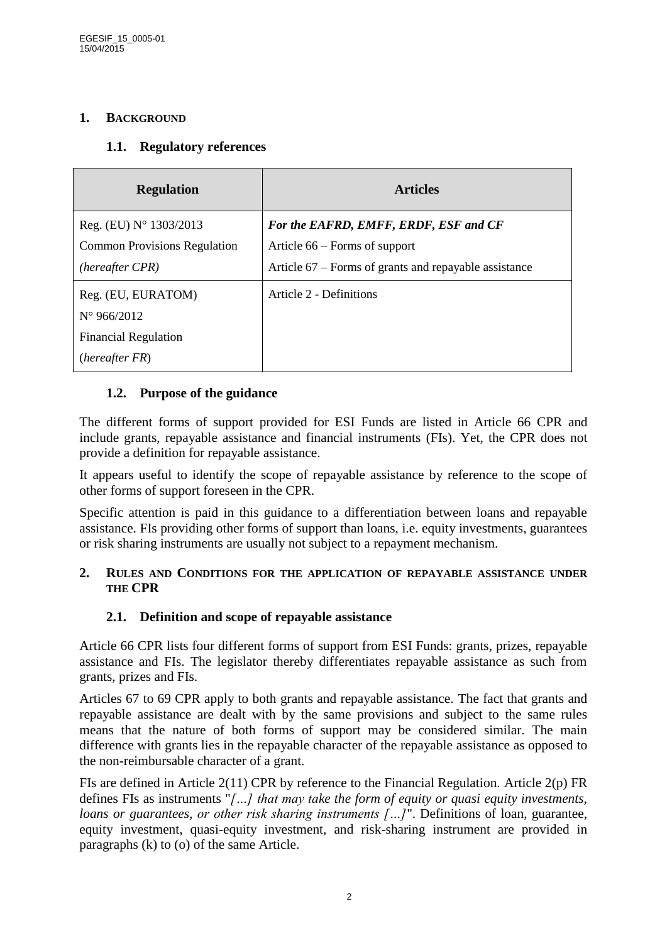## **1. BACKGROUND**

### **1.1. Regulatory references**

| <b>Regulation</b>                   | <b>Articles</b>                                       |
|-------------------------------------|-------------------------------------------------------|
| Reg. (EU) $N^{\circ}$ 1303/2013     | For the EAFRD, EMFF, ERDF, ESF and CF                 |
| <b>Common Provisions Regulation</b> | Article 66 – Forms of support                         |
| (hereafter CPR)                     | Article 67 – Forms of grants and repayable assistance |
| Reg. (EU, EURATOM)                  | Article 2 - Definitions                               |
| $N^{\circ}$ 966/2012                |                                                       |
| <b>Financial Regulation</b>         |                                                       |
| (hereafter FR)                      |                                                       |

## **1.2. Purpose of the guidance**

The different forms of support provided for ESI Funds are listed in Article 66 CPR and include grants, repayable assistance and financial instruments (FIs). Yet, the CPR does not provide a definition for repayable assistance.

It appears useful to identify the scope of repayable assistance by reference to the scope of other forms of support foreseen in the CPR.

Specific attention is paid in this guidance to a differentiation between loans and repayable assistance. FIs providing other forms of support than loans, i.e. equity investments, guarantees or risk sharing instruments are usually not subject to a repayment mechanism.

#### **2. RULES AND CONDITIONS FOR THE APPLICATION OF REPAYABLE ASSISTANCE UNDER THE CPR**

## **2.1. Definition and scope of repayable assistance**

Article 66 CPR lists four different forms of support from ESI Funds: grants, prizes, repayable assistance and FIs. The legislator thereby differentiates repayable assistance as such from grants, prizes and FIs.

Articles 67 to 69 CPR apply to both grants and repayable assistance. The fact that grants and repayable assistance are dealt with by the same provisions and subject to the same rules means that the nature of both forms of support may be considered similar. The main difference with grants lies in the repayable character of the repayable assistance as opposed to the non-reimbursable character of a grant.

FIs are defined in Article 2(11) CPR by reference to the Financial Regulation. Article 2(p) FR defines FIs as instruments "*[…] that may take the form of equity or quasi equity investments, loans or guarantees, or other risk sharing instruments [...]*". Definitions of loan, guarantee, equity investment, quasi-equity investment, and risk-sharing instrument are provided in paragraphs (k) to (o) of the same Article.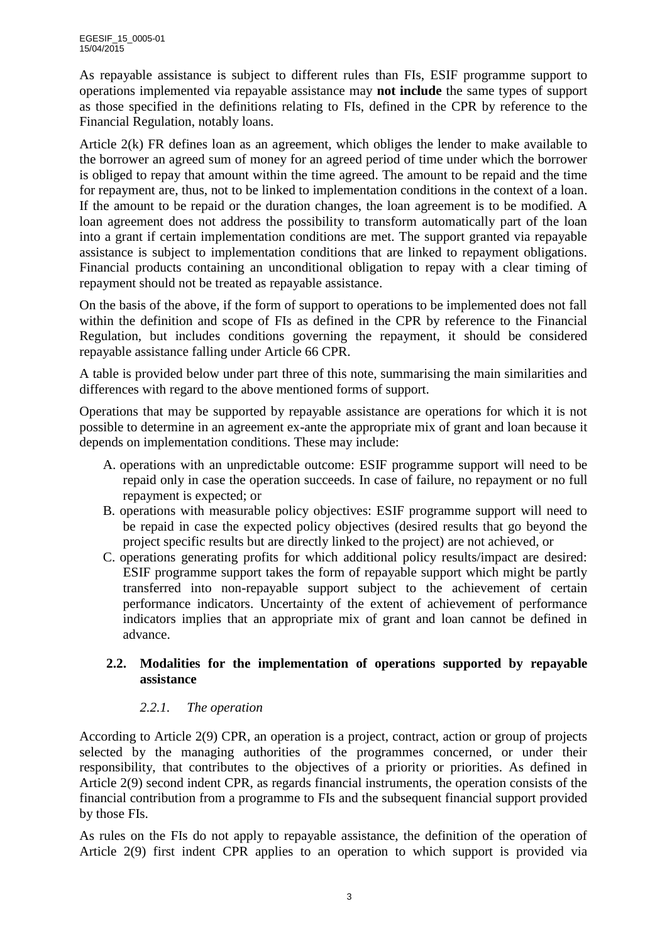As repayable assistance is subject to different rules than FIs, ESIF programme support to operations implemented via repayable assistance may **not include** the same types of support as those specified in the definitions relating to FIs, defined in the CPR by reference to the Financial Regulation, notably loans.

Article 2(k) FR defines loan as an agreement, which obliges the lender to make available to the borrower an agreed sum of money for an agreed period of time under which the borrower is obliged to repay that amount within the time agreed. The amount to be repaid and the time for repayment are, thus, not to be linked to implementation conditions in the context of a loan. If the amount to be repaid or the duration changes, the loan agreement is to be modified. A loan agreement does not address the possibility to transform automatically part of the loan into a grant if certain implementation conditions are met. The support granted via repayable assistance is subject to implementation conditions that are linked to repayment obligations. Financial products containing an unconditional obligation to repay with a clear timing of repayment should not be treated as repayable assistance.

On the basis of the above, if the form of support to operations to be implemented does not fall within the definition and scope of FIs as defined in the CPR by reference to the Financial Regulation, but includes conditions governing the repayment, it should be considered repayable assistance falling under Article 66 CPR.

A table is provided below under part three of this note, summarising the main similarities and differences with regard to the above mentioned forms of support.

Operations that may be supported by repayable assistance are operations for which it is not possible to determine in an agreement ex-ante the appropriate mix of grant and loan because it depends on implementation conditions. These may include:

- A. operations with an unpredictable outcome: ESIF programme support will need to be repaid only in case the operation succeeds. In case of failure, no repayment or no full repayment is expected; or
- B. operations with measurable policy objectives: ESIF programme support will need to be repaid in case the expected policy objectives (desired results that go beyond the project specific results but are directly linked to the project) are not achieved, or
- C. operations generating profits for which additional policy results/impact are desired: ESIF programme support takes the form of repayable support which might be partly transferred into non-repayable support subject to the achievement of certain performance indicators. Uncertainty of the extent of achievement of performance indicators implies that an appropriate mix of grant and loan cannot be defined in advance.

## **2.2. Modalities for the implementation of operations supported by repayable assistance**

# *2.2.1. The operation*

According to Article 2(9) CPR, an operation is a project, contract, action or group of projects selected by the managing authorities of the programmes concerned, or under their responsibility, that contributes to the objectives of a priority or priorities. As defined in Article 2(9) second indent CPR, as regards financial instruments, the operation consists of the financial contribution from a programme to FIs and the subsequent financial support provided by those FIs.

As rules on the FIs do not apply to repayable assistance, the definition of the operation of Article 2(9) first indent CPR applies to an operation to which support is provided via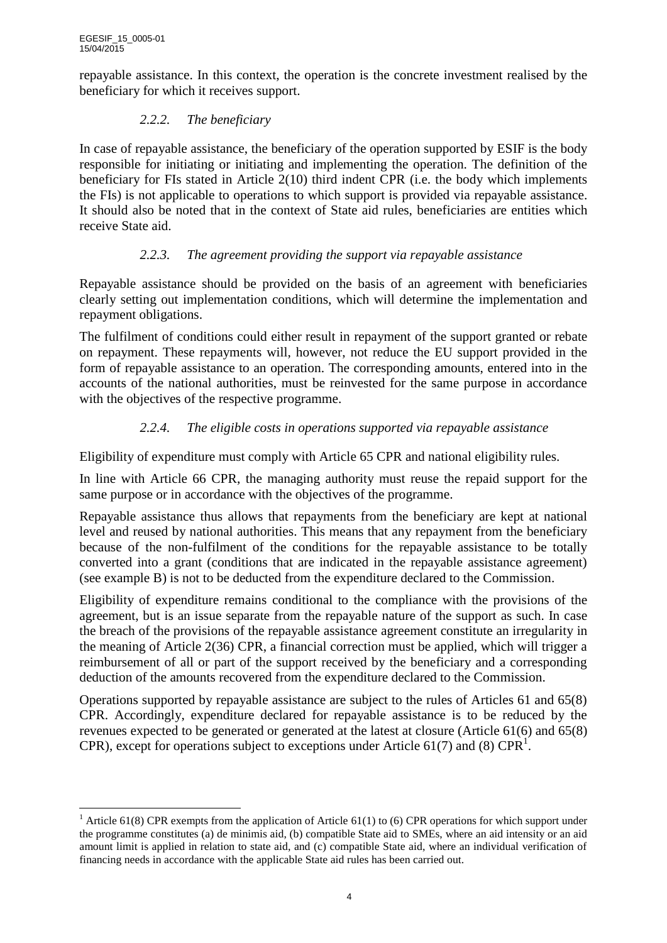repayable assistance. In this context, the operation is the concrete investment realised by the beneficiary for which it receives support.

# *2.2.2. The beneficiary*

In case of repayable assistance, the beneficiary of the operation supported by ESIF is the body responsible for initiating or initiating and implementing the operation. The definition of the beneficiary for FIs stated in Article 2(10) third indent CPR (i.e. the body which implements the FIs) is not applicable to operations to which support is provided via repayable assistance. It should also be noted that in the context of State aid rules, beneficiaries are entities which receive State aid.

# *2.2.3. The agreement providing the support via repayable assistance*

Repayable assistance should be provided on the basis of an agreement with beneficiaries clearly setting out implementation conditions, which will determine the implementation and repayment obligations.

The fulfilment of conditions could either result in repayment of the support granted or rebate on repayment. These repayments will, however, not reduce the EU support provided in the form of repayable assistance to an operation. The corresponding amounts, entered into in the accounts of the national authorities, must be reinvested for the same purpose in accordance with the objectives of the respective programme.

# *2.2.4. The eligible costs in operations supported via repayable assistance*

Eligibility of expenditure must comply with Article 65 CPR and national eligibility rules.

In line with Article 66 CPR, the managing authority must reuse the repaid support for the same purpose or in accordance with the objectives of the programme.

Repayable assistance thus allows that repayments from the beneficiary are kept at national level and reused by national authorities. This means that any repayment from the beneficiary because of the non-fulfilment of the conditions for the repayable assistance to be totally converted into a grant (conditions that are indicated in the repayable assistance agreement) (see example B) is not to be deducted from the expenditure declared to the Commission.

Eligibility of expenditure remains conditional to the compliance with the provisions of the agreement, but is an issue separate from the repayable nature of the support as such. In case the breach of the provisions of the repayable assistance agreement constitute an irregularity in the meaning of Article 2(36) CPR, a financial correction must be applied, which will trigger a reimbursement of all or part of the support received by the beneficiary and a corresponding deduction of the amounts recovered from the expenditure declared to the Commission.

Operations supported by repayable assistance are subject to the rules of Articles 61 and 65(8) CPR. Accordingly, expenditure declared for repayable assistance is to be reduced by the revenues expected to be generated or generated at the latest at closure (Article 61(6) and 65(8) CPR), except for operations subject to exceptions under Article 61(7) and (8) CPR<sup>1</sup>.

 $\overline{a}$ <sup>1</sup> Article 61(8) CPR exempts from the application of Article 61(1) to (6) CPR operations for which support under the programme constitutes (a) de minimis aid, (b) compatible State aid to SMEs, where an aid intensity or an aid amount limit is applied in relation to state aid, and (c) compatible State aid, where an individual verification of financing needs in accordance with the applicable State aid rules has been carried out.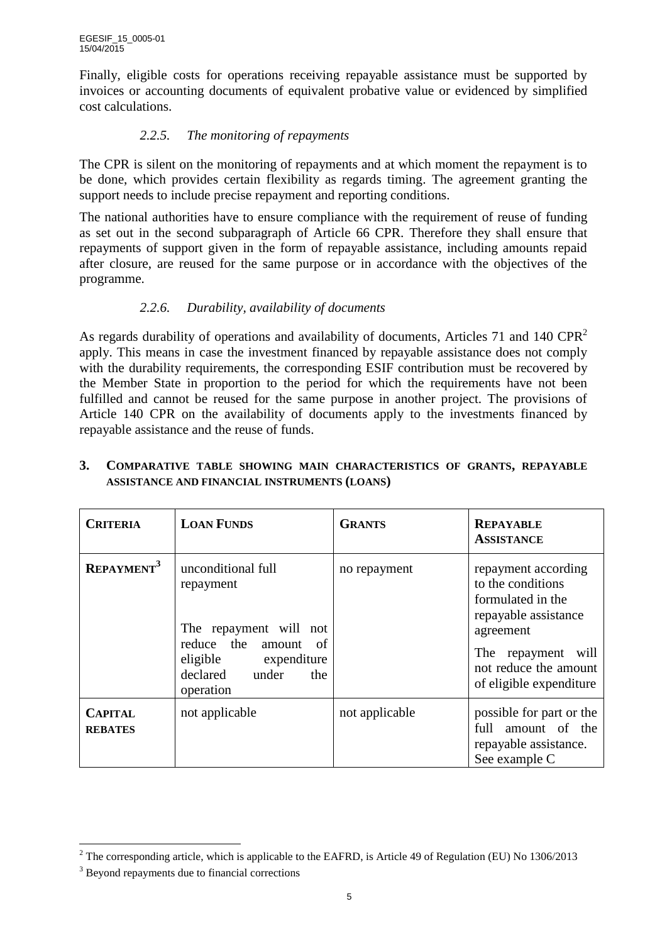Finally, eligible costs for operations receiving repayable assistance must be supported by invoices or accounting documents of equivalent probative value or evidenced by simplified cost calculations.

## *2.2.5. The monitoring of repayments*

The CPR is silent on the monitoring of repayments and at which moment the repayment is to be done, which provides certain flexibility as regards timing. The agreement granting the support needs to include precise repayment and reporting conditions.

The national authorities have to ensure compliance with the requirement of reuse of funding as set out in the second subparagraph of Article 66 CPR. Therefore they shall ensure that repayments of support given in the form of repayable assistance, including amounts repaid after closure, are reused for the same purpose or in accordance with the objectives of the programme.

## *2.2.6. Durability, availability of documents*

As regards durability of operations and availability of documents, Articles 71 and 140 CPR<sup>2</sup> apply. This means in case the investment financed by repayable assistance does not comply with the durability requirements, the corresponding ESIF contribution must be recovered by the Member State in proportion to the period for which the requirements have not been fulfilled and cannot be reused for the same purpose in another project. The provisions of Article 140 CPR on the availability of documents apply to the investments financed by repayable assistance and the reuse of funds.

| <b>CRITERIA</b>                  | <b>LOAN FUNDS</b>                                                                                                                               | <b>GRANTS</b>  | <b>REPAYABLE</b><br><b>ASSISTANCE</b>                                                                                                                                           |
|----------------------------------|-------------------------------------------------------------------------------------------------------------------------------------------------|----------------|---------------------------------------------------------------------------------------------------------------------------------------------------------------------------------|
| REPAYMENT <sup>3</sup>           | unconditional full<br>repayment<br>The repayment will not<br>reduce the amount of<br>eligible expenditure<br>declared under<br>the<br>operation | no repayment   | repayment according<br>to the conditions<br>formulated in the<br>repayable assistance<br>agreement<br>The<br>repayment will<br>not reduce the amount<br>of eligible expenditure |
| <b>CAPITAL</b><br><b>REBATES</b> | not applicable                                                                                                                                  | not applicable | possible for part or the<br>full amount of the<br>repayable assistance.<br>See example C                                                                                        |

### **3. COMPARATIVE TABLE SHOWING MAIN CHARACTERISTICS OF GRANTS, REPAYABLE ASSISTANCE AND FINANCIAL INSTRUMENTS (LOANS)**

 $\overline{a}$ 

<sup>&</sup>lt;sup>2</sup> The corresponding article, which is applicable to the EAFRD, is Article 49 of Regulation (EU) No 1306/2013

<sup>&</sup>lt;sup>3</sup> Beyond repayments due to financial corrections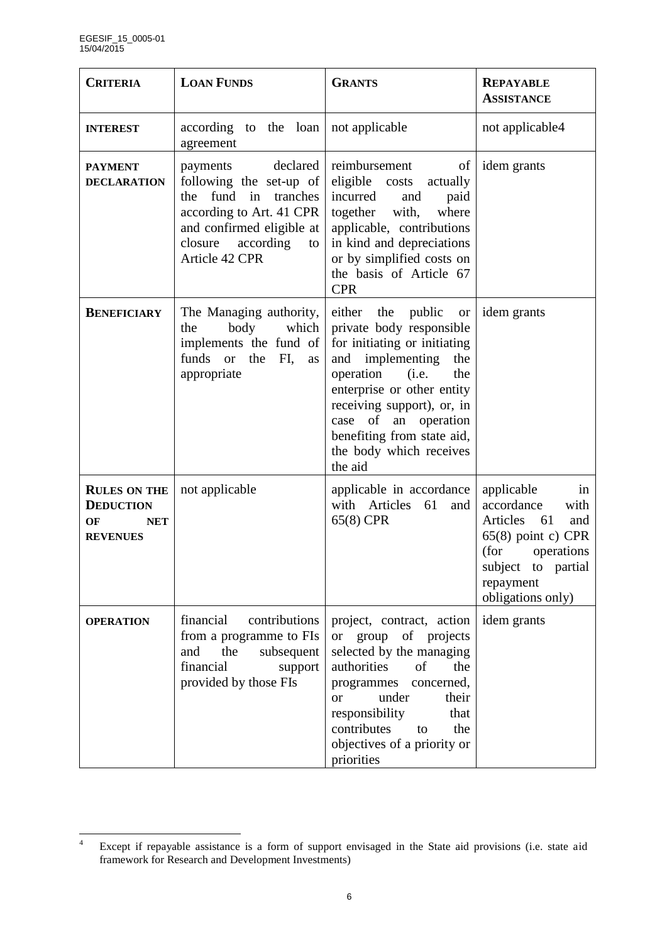| <b>CRITERIA</b>                                                                | <b>LOAN FUNDS</b>                                                                                                                                                                | <b>GRANTS</b>                                                                                                                                                                                                                                                                                    | <b>REPAYABLE</b><br><b>ASSISTANCE</b>                                                                                                                              |
|--------------------------------------------------------------------------------|----------------------------------------------------------------------------------------------------------------------------------------------------------------------------------|--------------------------------------------------------------------------------------------------------------------------------------------------------------------------------------------------------------------------------------------------------------------------------------------------|--------------------------------------------------------------------------------------------------------------------------------------------------------------------|
| <b>INTEREST</b>                                                                | according to the loan<br>agreement                                                                                                                                               | not applicable                                                                                                                                                                                                                                                                                   | not applicable4                                                                                                                                                    |
| <b>PAYMENT</b><br><b>DECLARATION</b>                                           | declared<br>payments<br>following the set-up of<br>the fund in tranches<br>according to Art. 41 CPR<br>and confirmed eligible at<br>according<br>closure<br>to<br>Article 42 CPR | reimbursement<br>of<br>eligible<br>actually<br>costs<br>incurred<br>and<br>paid<br>together with,<br>where<br>applicable, contributions<br>in kind and depreciations<br>or by simplified costs on<br>the basis of Article 67<br><b>CPR</b>                                                       | idem grants                                                                                                                                                        |
| <b>BENEFICIARY</b>                                                             | The Managing authority,<br>body<br>which<br>the<br>implements the fund of<br>funds or<br>the FI,<br>as<br>appropriate                                                            | either the public or<br>private body responsible<br>for initiating or initiating<br>and implementing<br>the<br>operation<br>(i.e.<br>the<br>enterprise or other entity<br>receiving support), or, in<br>case of an operation<br>benefiting from state aid,<br>the body which receives<br>the aid | idem grants                                                                                                                                                        |
| <b>RULES ON THE</b><br><b>DEDUCTION</b><br>OF<br><b>NET</b><br><b>REVENUES</b> | not applicable                                                                                                                                                                   | applicable in accordance<br>with Articles 61<br>and<br>65(8) CPR                                                                                                                                                                                                                                 | applicable<br>in<br>accordance<br>with<br>Articles 61<br>and<br>$65(8)$ point c) CPR<br>(for<br>operations<br>subject to partial<br>repayment<br>obligations only) |
| <b>OPERATION</b>                                                               | financial<br>contributions<br>from a programme to FIs<br>subsequent<br>the<br>and<br>financial<br>support<br>provided by those FIs                                               | project, contract, action<br>of projects<br>group<br><sub>or</sub><br>selected by the managing<br>authorities<br>of<br>the<br>concerned,<br>programmes<br>under<br>their<br>$\alpha$<br>responsibility<br>that<br>contributes<br>the<br>to<br>objectives of a priority or<br>priorities          | idem grants                                                                                                                                                        |

 $\overline{4}$ <sup>4</sup> Except if repayable assistance is a form of support envisaged in the State aid provisions (i.e. state aid framework for Research and Development Investments)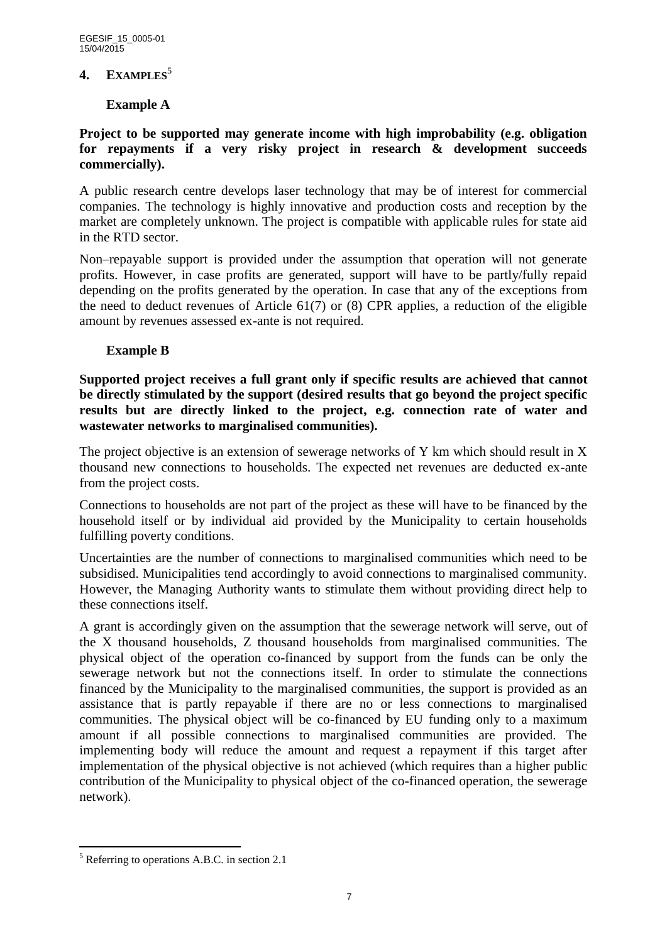#### **4. EXAMPLES**<sup>5</sup>

## **Example A**

## **Project to be supported may generate income with high improbability (e.g. obligation for repayments if a very risky project in research & development succeeds commercially).**

A public research centre develops laser technology that may be of interest for commercial companies. The technology is highly innovative and production costs and reception by the market are completely unknown. The project is compatible with applicable rules for state aid in the RTD sector.

Non–repayable support is provided under the assumption that operation will not generate profits. However, in case profits are generated, support will have to be partly/fully repaid depending on the profits generated by the operation. In case that any of the exceptions from the need to deduct revenues of Article 61(7) or (8) CPR applies, a reduction of the eligible amount by revenues assessed ex-ante is not required.

## **Example B**

**Supported project receives a full grant only if specific results are achieved that cannot be directly stimulated by the support (desired results that go beyond the project specific results but are directly linked to the project, e.g. connection rate of water and wastewater networks to marginalised communities).**

The project objective is an extension of sewerage networks of Y km which should result in X thousand new connections to households. The expected net revenues are deducted ex-ante from the project costs.

Connections to households are not part of the project as these will have to be financed by the household itself or by individual aid provided by the Municipality to certain households fulfilling poverty conditions.

Uncertainties are the number of connections to marginalised communities which need to be subsidised. Municipalities tend accordingly to avoid connections to marginalised community. However, the Managing Authority wants to stimulate them without providing direct help to these connections itself.

A grant is accordingly given on the assumption that the sewerage network will serve, out of the X thousand households, Z thousand households from marginalised communities. The physical object of the operation co-financed by support from the funds can be only the sewerage network but not the connections itself. In order to stimulate the connections financed by the Municipality to the marginalised communities, the support is provided as an assistance that is partly repayable if there are no or less connections to marginalised communities. The physical object will be co-financed by EU funding only to a maximum amount if all possible connections to marginalised communities are provided. The implementing body will reduce the amount and request a repayment if this target after implementation of the physical objective is not achieved (which requires than a higher public contribution of the Municipality to physical object of the co-financed operation, the sewerage network).

 $\overline{a}$ 

 $<sup>5</sup>$  Referring to operations A.B.C. in section 2.1</sup>